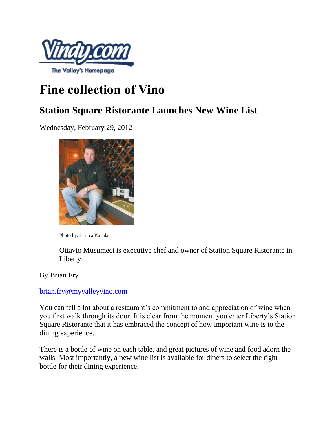

## **Fine collection of Vino**

## **Station Square Ristorante Launches New Wine List**

Wednesday, February 29, 2012



Photo by: Jessica Kanalas

Ottavio Musumeci is executive chef and owner of Station Square Ristorante in Liberty.

By Brian Fry

## [brian.fry@myvalleyvino.com](mailto:brian.fry@myvalleyvino.com)

You can tell a lot about a restaurant's commitment to and appreciation of wine when you first walk through its door. It is clear from the moment you enter Liberty's Station Square Ristorante that it has embraced the concept of how important wine is to the dining experience.

There is a bottle of wine on each table, and great pictures of wine and food adorn the walls. Most importantly, a new wine list is available for diners to select the right bottle for their dining experience.